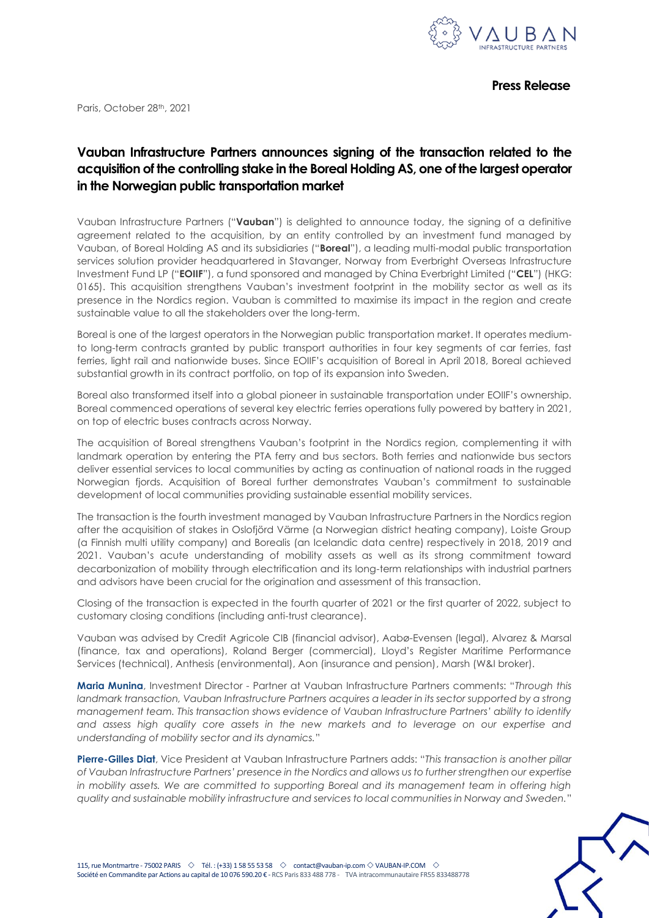

Paris, October 28<sup>th</sup>, 2021

## **Vauban Infrastructure Partners announces signing of the transaction related to the acquisition of the controlling stake in the Boreal Holding AS, one of the largest operator in the Norwegian public transportation market**

Vauban Infrastructure Partners ("**Vauban**") is delighted to announce today, the signing of a definitive agreement related to the acquisition, by an entity controlled by an investment fund managed by Vauban, of Boreal Holding AS and its subsidiaries ("**Boreal**"), a leading multi-modal public transportation services solution provider headquartered in Stavanger, Norway from Everbright Overseas Infrastructure Investment Fund LP ("**EOIIF**"), a fund sponsored and managed by China Everbright Limited ("**CEL**") (HKG: 0165). This acquisition strengthens Vauban's investment footprint in the mobility sector as well as its presence in the Nordics region. Vauban is committed to maximise its impact in the region and create sustainable value to all the stakeholders over the long-term.

Boreal is one of the largest operators in the Norwegian public transportation market. It operates mediumto long-term contracts granted by public transport authorities in four key segments of car ferries, fast ferries, light rail and nationwide buses. Since EOIIF's acquisition of Boreal in April 2018, Boreal achieved substantial growth in its contract portfolio, on top of its expansion into Sweden.

Boreal also transformed itself into a global pioneer in sustainable transportation under EOIIF's ownership. Boreal commenced operations of several key electric ferries operations fully powered by battery in 2021, on top of electric buses contracts across Norway.

The acquisition of Boreal strengthens Vauban's footprint in the Nordics region, complementing it with landmark operation by entering the PTA ferry and bus sectors. Both ferries and nationwide bus sectors deliver essential services to local communities by acting as continuation of national roads in the rugged Norwegian fjords. Acquisition of Boreal further demonstrates Vauban's commitment to sustainable development of local communities providing sustainable essential mobility services.

The transaction is the fourth investment managed by Vauban Infrastructure Partners in the Nordics region after the acquisition of stakes in Oslofjörd Värme (a Norwegian district heating company), Loiste Group (a Finnish multi utility company) and Borealis (an Icelandic data centre) respectively in 2018, 2019 and 2021. Vauban's acute understanding of mobility assets as well as its strong commitment toward decarbonization of mobility through electrification and its long-term relationships with industrial partners and advisors have been crucial for the origination and assessment of this transaction.

Closing of the transaction is expected in the fourth quarter of 2021 or the first quarter of 2022, subject to customary closing conditions (including anti-trust clearance).

Vauban was advised by Credit Agricole CIB (financial advisor), Aabø-Evensen (legal), Alvarez & Marsal (finance, tax and operations), Roland Berger (commercial), Lloyd's Register Maritime Performance Services (technical), Anthesis (environmental), Aon (insurance and pension), Marsh (W&I broker).

**Maria Munina**, Investment Director - Partner at Vauban Infrastructure Partners comments: "*Through this landmark transaction, Vauban Infrastructure Partners acquires a leader in its sector supported by a strong management team. This transaction shows evidence of Vauban Infrastructure Partners' ability to identify and assess high quality core assets in the new markets and to leverage on our expertise and understanding of mobility sector and its dynamics.*"

**Pierre-Gilles Diat**, Vice President at Vauban Infrastructure Partners adds: "*This transaction is another pillar of Vauban Infrastructure Partners' presence in the Nordics and allows us to further strengthen our expertise in mobility assets. We are committed to supporting Boreal and its management team in offering high quality and sustainable mobility infrastructure and services to local communities in Norway and Sweden.*"